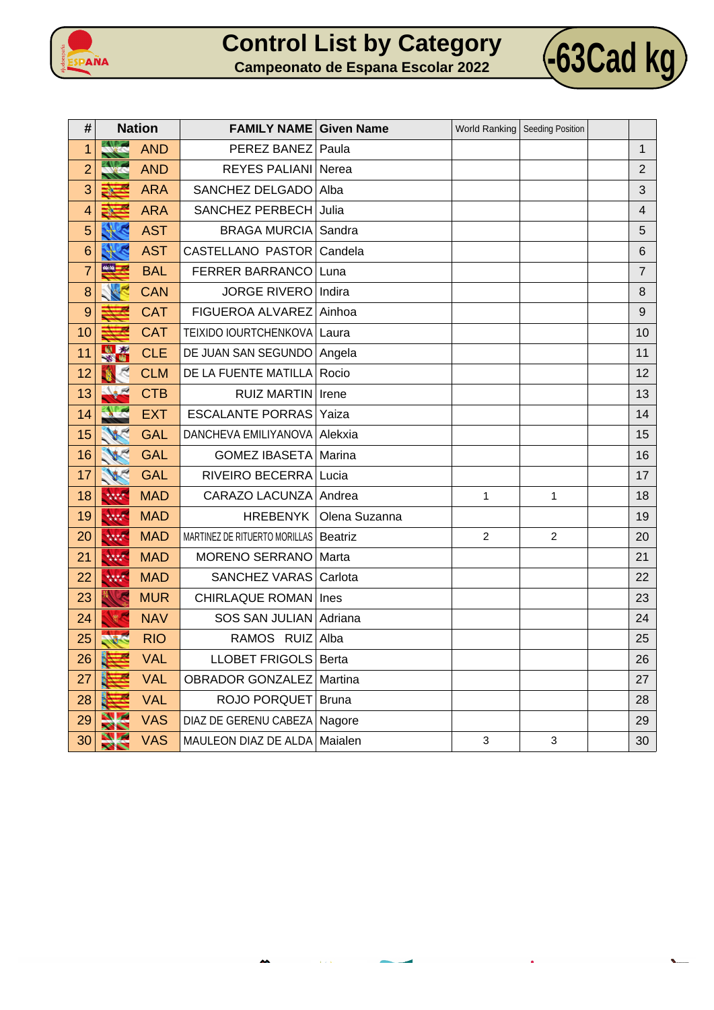



| <b>Campeonato de Espana Escolar 2022</b> |  |  |  |  |  |
|------------------------------------------|--|--|--|--|--|
|                                          |  |  |  |  |  |
|                                          |  |  |  |  |  |
|                                          |  |  |  |  |  |

| #              | <b>Nation</b> |            | <b>FAMILY NAME Given Name</b>  |                |                | World Ranking   Seeding Position |                |
|----------------|---------------|------------|--------------------------------|----------------|----------------|----------------------------------|----------------|
| 1              | <b>ENLIST</b> | <b>AND</b> | PEREZ BANEZ                    | Paula          |                |                                  | 1              |
| $\overline{2}$ |               | <b>AND</b> | <b>REYES PALIANI</b>           | Nerea          |                |                                  | $\overline{2}$ |
| 3              |               | <b>ARA</b> | SANCHEZ DELGADO                | Alba           |                |                                  | 3              |
| 4              |               | <b>ARA</b> | SANCHEZ PERBECH                | Julia          |                |                                  | 4              |
| 5              |               | <b>AST</b> | <b>BRAGA MURCIA</b>            | Sandra         |                |                                  | 5              |
| 6              |               | <b>AST</b> | CASTELLANO PASTOR              | Candela        |                |                                  | 6              |
| $\overline{7}$ |               | <b>BAL</b> | <b>FERRER BARRANCO</b>         | Luna           |                |                                  | $\overline{7}$ |
| 8              |               | <b>CAN</b> | <b>JORGE RIVERO</b>            | Indira         |                |                                  | 8              |
| 9              |               | <b>CAT</b> | FIGUEROA ALVAREZ               | Ainhoa         |                |                                  | 9              |
| 10             |               | <b>CAT</b> | TEIXIDO IOURTCHENKOVA          | Laura          |                |                                  | 10             |
| 11             | 出场            | <b>CLE</b> | DE JUAN SAN SEGUNDO            | Angela         |                |                                  | 11             |
| 12             |               | <b>CLM</b> | DE LA FUENTE MATILLA           | Rocio          |                |                                  | 12             |
| 13             |               | <b>CTB</b> | <b>RUIZ MARTIN</b>             | Irene          |                |                                  | 13             |
| 14             |               | <b>EXT</b> | <b>ESCALANTE PORRAS</b>        | Yaiza          |                |                                  | 14             |
| 15             |               | <b>GAL</b> | DANCHEVA EMILIYANOVA           | Alekxia        |                |                                  | 15             |
| 16             |               | <b>GAL</b> | <b>GOMEZ IBASETA</b>           | Marina         |                |                                  | 16             |
| 17             | WE            | <b>GAL</b> | <b>RIVEIRO BECERRA</b>         | Lucia          |                |                                  | 17             |
| 18             | 林林            | <b>MAD</b> | CARAZO LACUNZA                 | Andrea         | 1              | 1                                | 18             |
| 19             | 大大大大          | <b>MAD</b> | <b>HREBENYK</b>                | Olena Suzanna  |                |                                  | 19             |
| 20             | 林林            | <b>MAD</b> | MARTINEZ DE RITUERTO MORILLAS  | <b>Beatriz</b> | $\overline{2}$ | $\overline{c}$                   | 20             |
| 21             | 林林            | <b>MAD</b> | MORENO SERRANO                 | Marta          |                |                                  | 21             |
| 22             | 大大大大          | <b>MAD</b> | <b>SANCHEZ VARAS</b>           | Carlota        |                |                                  | 22             |
| 23             |               | <b>MUR</b> | <b>CHIRLAQUE ROMAN Ines</b>    |                |                |                                  | 23             |
| 24             |               | <b>NAV</b> | SOS SAN JULIAN                 | Adriana        |                |                                  | 24             |
| 25             |               | <b>RIO</b> | RAMOS RUIZ                     | Alba           |                |                                  | 25             |
| 26             |               | <b>VAL</b> | LLOBET FRIGOLS   Berta         |                |                |                                  | 26             |
| 27             |               | <b>VAL</b> | <b>OBRADOR GONZALEZ</b>        | Martina        |                |                                  | 27             |
| 28             |               | <b>VAL</b> | ROJO PORQUET                   | <b>Bruna</b>   |                |                                  | 28             |
| 29             |               | <b>VAS</b> | DIAZ DE GERENU CABEZA   Nagore |                |                |                                  | 29             |
| 30             |               | <b>VAS</b> | MAULEON DIAZ DE ALDA           | Maialen        | 3              | $\ensuremath{\mathsf{3}}$        | 30             |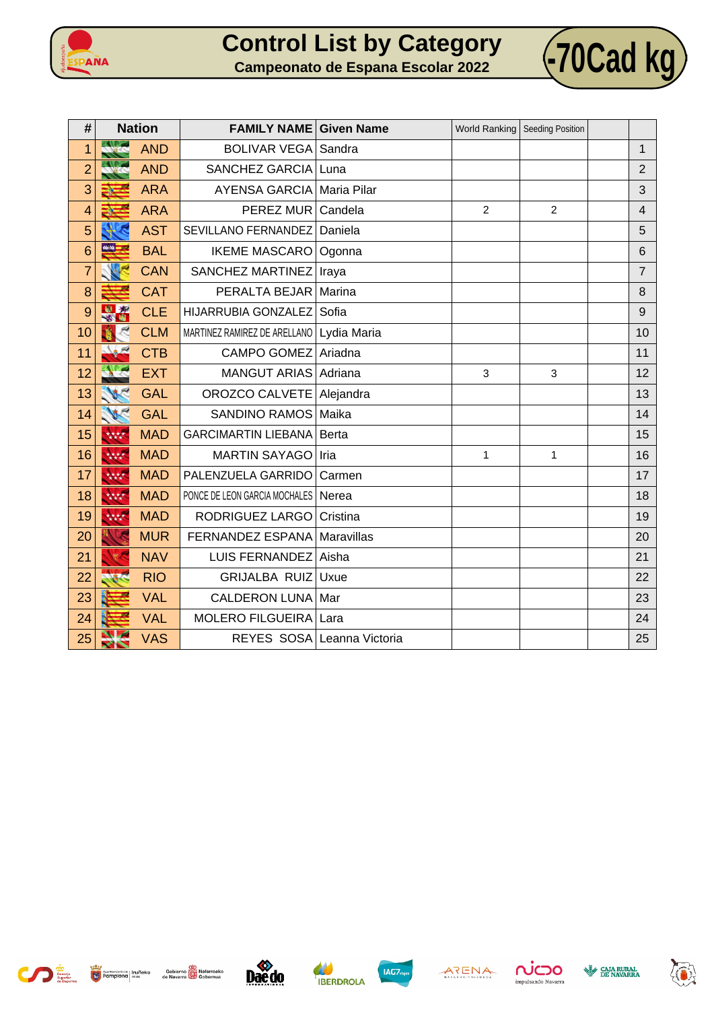



| #              | <b>Nation</b>        |            | <b>FAMILY NAME Given Name</b>         |                            | World Ranking   Seeding Position |                |                |
|----------------|----------------------|------------|---------------------------------------|----------------------------|----------------------------------|----------------|----------------|
| 1              | <b>ZALOS</b>         | <b>AND</b> | <b>BOLIVAR VEGA</b>                   | Sandra                     |                                  |                | $\mathbf{1}$   |
| $\overline{2}$ |                      | <b>AND</b> | SANCHEZ GARCIA                        | Luna                       |                                  |                | $\overline{2}$ |
| 3              |                      | <b>ARA</b> | <b>AYENSA GARCIA</b>                  | Maria Pilar                |                                  |                | 3              |
| 4              |                      | <b>ARA</b> | PEREZ MUR                             | Candela                    | $\overline{2}$                   | $\overline{2}$ | 4              |
| 5              |                      | <b>AST</b> | SEVILLANO FERNANDEZ                   | Daniela                    |                                  |                | 5              |
| 6              | seite <mark>i</mark> | <b>BAL</b> | <b>IKEME MASCARO</b>                  | Ogonna                     |                                  |                | 6              |
| $\overline{7}$ |                      | <b>CAN</b> | SANCHEZ MARTINEZ                      | Iraya                      |                                  |                | $\overline{7}$ |
| 8              |                      | <b>CAT</b> | PERALTA BEJAR                         | Marina                     |                                  |                | 8              |
| 9              | 出资<br>-31            | <b>CLE</b> | HIJARRUBIA GONZALEZ                   | Sofia                      |                                  |                | 9              |
| 10             |                      | <b>CLM</b> | MARTINEZ RAMIREZ DE ARELLANO          | Lydia Maria                |                                  |                | 10             |
| 11             |                      | <b>CTB</b> | CAMPO GOMEZ Ariadna                   |                            |                                  |                | 11             |
| 12             |                      | <b>EXT</b> | MANGUT ARIAS Adriana                  |                            | 3                                | 3              | 12             |
| 13             |                      | <b>GAL</b> | OROZCO CALVETE   Alejandra            |                            |                                  |                | 13             |
| 14             |                      | <b>GAL</b> | SANDINO RAMOS Maika                   |                            |                                  |                | 14             |
| 15             | 林林                   | <b>MAD</b> | <b>GARCIMARTIN LIEBANA</b>            | Berta                      |                                  |                | 15             |
| 16             | 大大大大                 | <b>MAD</b> | MARTIN SAYAGO                         | Iria                       | 1                                | 1              | 16             |
| 17             | 大大大大                 | <b>MAD</b> | PALENZUELA GARRIDO                    | Carmen                     |                                  |                | 17             |
| 18             | 林林                   | <b>MAD</b> | PONCE DE LEON GARCIA MOCHALES   Nerea |                            |                                  |                | 18             |
| 19             | 大大大大                 | <b>MAD</b> | RODRIGUEZ LARGO                       | Cristina                   |                                  |                | 19             |
| 20             |                      | <b>MUR</b> | FERNANDEZ ESPANA                      | Maravillas                 |                                  |                | 20             |
| 21             |                      | <b>NAV</b> | <b>LUIS FERNANDEZ</b>                 | Aisha                      |                                  |                | 21             |
| 22             |                      | <b>RIO</b> | <b>GRIJALBA RUIZ</b>                  | Uxue                       |                                  |                | 22             |
| 23             |                      | <b>VAL</b> | <b>CALDERON LUNA</b>                  | Mar                        |                                  |                | 23             |
| 24             |                      | <b>VAL</b> | <b>MOLERO FILGUEIRA</b>               | Lara                       |                                  |                | 24             |
| 25             | ╱╲                   | <b>VAS</b> |                                       | REYES SOSA Leanna Victoria |                                  |                | 25             |